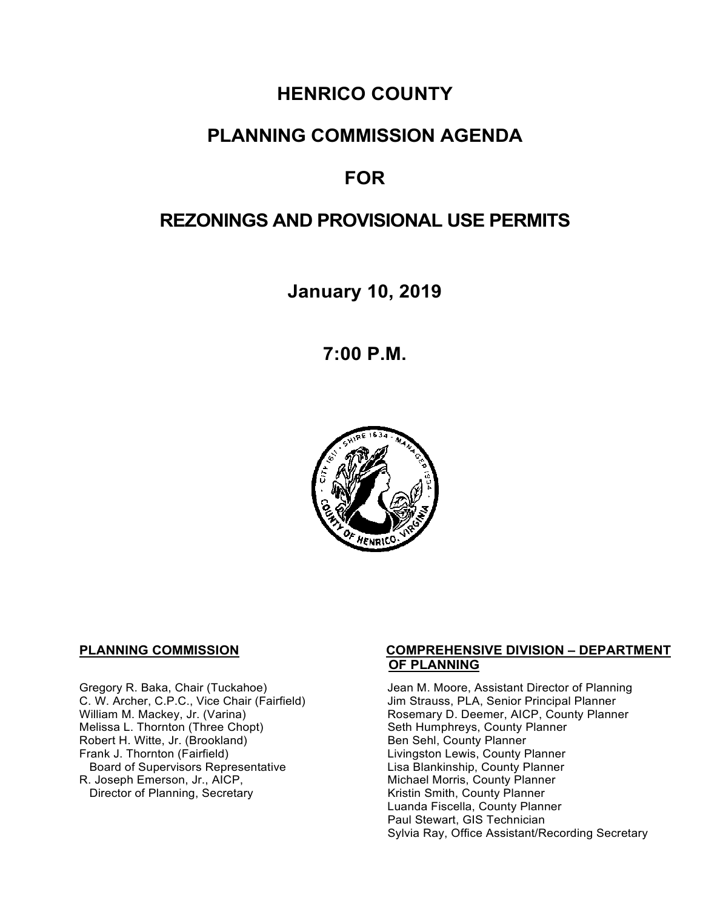# **HENRICO COUNTY**

# **PLANNING COMMISSION AGENDA**

# **FOR**

# **REZONINGS AND PROVISIONAL USE PERMITS**

**January 10, 2019**

**7:00 P.M.**



Gregory R. Baka, Chair (Tuckahoe) C. W. Archer, C.P.C., Vice Chair (Fairfield) William M. Mackey, Jr. (Varina) Melissa L. Thornton (Three Chopt) Robert H. Witte, Jr. (Brookland)<br>Frank J. Thornton (Fairfield) Board of Supervisors Representative Lisa Blankinship, County Planner<br>R. Joseph Emerson, Jr., AICP, Michael Morris, County Planner Director of Planning, Secretary

#### **PLANNING COMMISSION COMPREHENSIVE DIVISION – DEPARTMENT OF PLANNING**

Jean M. Moore, Assistant Director of Planning Jim Strauss, PLA, Senior Principal Planner Rosemary D. Deemer, AICP, County Planner Seth Humphreys, County Planner Ben Sehl, County Planner Livingston Lewis, County Planner Michael Morris, County Planner<br>Kristin Smith, County Planner Luanda Fiscella, County Planner Paul Stewart, GIS Technician Sylvia Ray, Office Assistant/Recording Secretary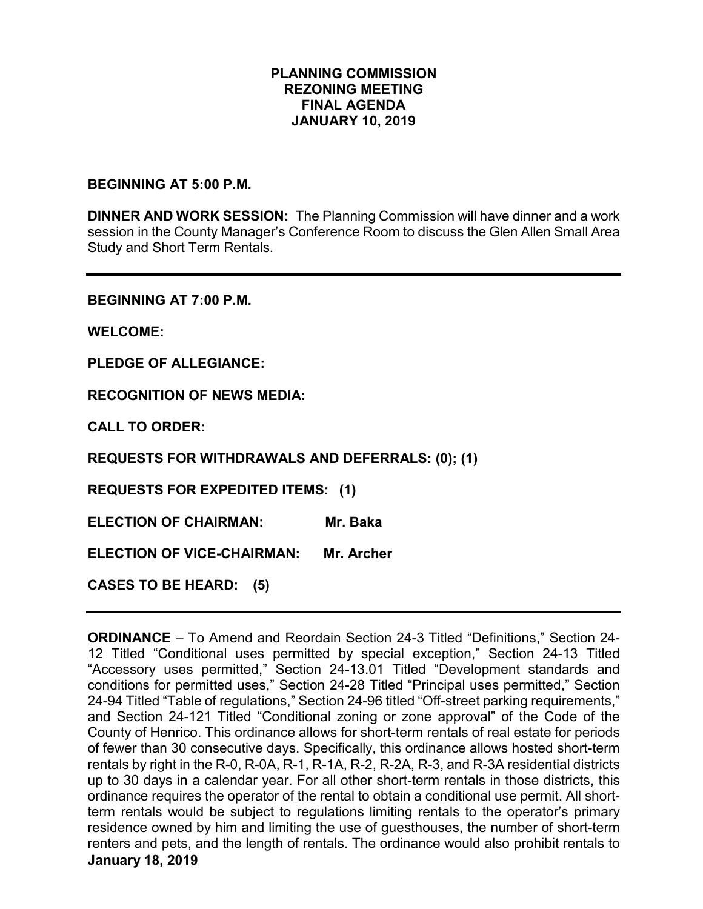## **PLANNING COMMISSION REZONING MEETING FINAL AGENDA JANUARY 10, 2019**

## **BEGINNING AT 5:00 P.M.**

**DINNER AND WORK SESSION:** The Planning Commission will have dinner and a work session in the County Manager's Conference Room to discuss the Glen Allen Small Area Study and Short Term Rentals.

**BEGINNING AT 7:00 P.M.**

**WELCOME:**

**PLEDGE OF ALLEGIANCE:**

**RECOGNITION OF NEWS MEDIA:**

**CALL TO ORDER:**

**REQUESTS FOR WITHDRAWALS AND DEFERRALS: (0); (1)**

**REQUESTS FOR EXPEDITED ITEMS: (1)**

**ELECTION OF CHAIRMAN: Mr. Baka** 

**ELECTION OF VICE-CHAIRMAN: Mr. Archer**

**CASES TO BE HEARD: (5)**

**January 18, 2019 ORDINANCE** – To Amend and Reordain Section 24-3 Titled "Definitions," Section 24- 12 Titled "Conditional uses permitted by special exception," Section 24-13 Titled "Accessory uses permitted," Section 24-13.01 Titled "Development standards and conditions for permitted uses," Section 24-28 Titled "Principal uses permitted," Section 24-94 Titled "Table of regulations," Section 24-96 titled "Off-street parking requirements," and Section 24-121 Titled "Conditional zoning or zone approval" of the Code of the County of Henrico. This ordinance allows for short-term rentals of real estate for periods of fewer than 30 consecutive days. Specifically, this ordinance allows hosted short-term rentals by right in the R-0, R-0A, R-1, R-1A, R-2, R-2A, R-3, and R-3A residential districts up to 30 days in a calendar year. For all other short-term rentals in those districts, this ordinance requires the operator of the rental to obtain a conditional use permit. All shortterm rentals would be subject to regulations limiting rentals to the operator's primary residence owned by him and limiting the use of guesthouses, the number of short-term renters and pets, and the length of rentals. The ordinance would also prohibit rentals to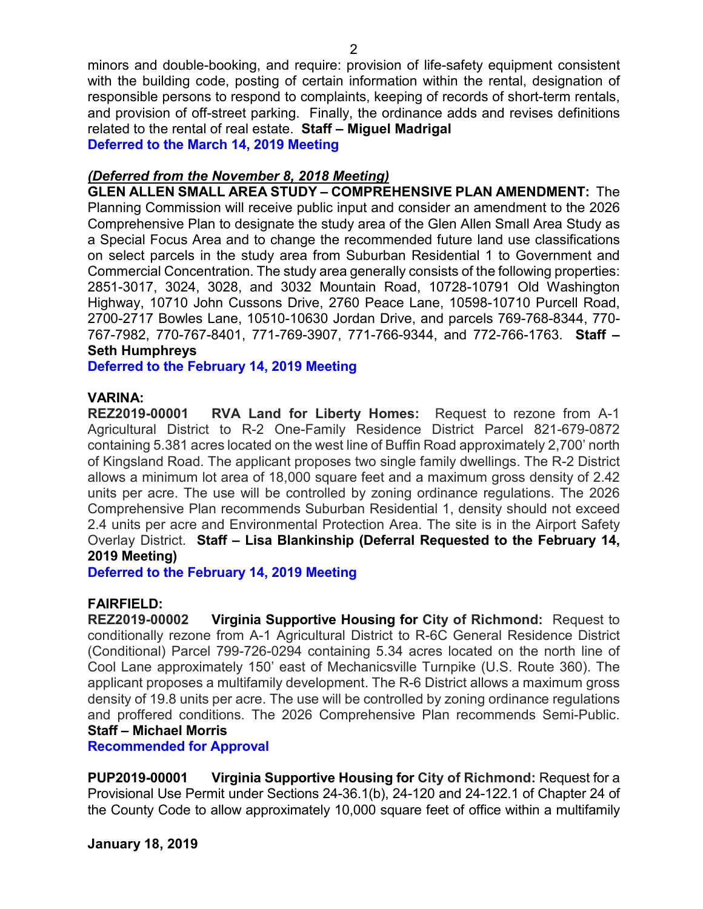minors and double-booking, and require: provision of life-safety equipment consistent with the building code, posting of certain information within the rental, designation of responsible persons to respond to complaints, keeping of records of short-term rentals, and provision of off-street parking. Finally, the ordinance adds and revises definitions related to the rental of real estate. **Staff – Miguel Madrigal**

**Deferred to the March 14, 2019 Meeting** 

# *(Deferred from the November 8, 2018 Meeting)*

**GLEN ALLEN SMALL AREA STUDY – COMPREHENSIVE PLAN AMENDMENT:** The Planning Commission will receive public input and consider an amendment to the 2026 Comprehensive Plan to designate the study area of the Glen Allen Small Area Study as a Special Focus Area and to change the recommended future land use classifications on select parcels in the study area from Suburban Residential 1 to Government and Commercial Concentration. The study area generally consists of the following properties: 2851-3017, 3024, 3028, and 3032 Mountain Road, 10728-10791 Old Washington Highway, 10710 John Cussons Drive, 2760 Peace Lane, 10598-10710 Purcell Road, 2700-2717 Bowles Lane, 10510-10630 Jordan Drive, and parcels 769-768-8344, 770- 767-7982, 770-767-8401, 771-769-3907, 771-766-9344, and 772-766-1763. **Staff – Seth Humphreys**

**Deferred to the February 14, 2019 Meeting**

# **VARINA:**

**REZ2019-00001 RVA Land for Liberty Homes:** Request to rezone from A-1 Agricultural District to R-2 One-Family Residence District Parcel 821-679-0872 containing 5.381 acres located on the west line of Buffin Road approximately 2,700' north of Kingsland Road. The applicant proposes two single family dwellings. The R-2 District allows a minimum lot area of 18,000 square feet and a maximum gross density of 2.42 units per acre. The use will be controlled by zoning ordinance regulations. The 2026 Comprehensive Plan recommends Suburban Residential 1, density should not exceed 2.4 units per acre and Environmental Protection Area. The site is in the Airport Safety Overlay District. **Staff – Lisa Blankinship (Deferral Requested to the February 14, 2019 Meeting)**

**Deferred to the February 14, 2019 Meeting**

**FAIRFIELD: Virginia Supportive Housing for City of Richmond: Request to** conditionally rezone from A-1 Agricultural District to R-6C General Residence District (Conditional) Parcel 799-726-0294 containing 5.34 acres located on the north line of Cool Lane approximately 150' east of Mechanicsville Turnpike (U.S. Route 360). The applicant proposes a multifamily development. The R-6 District allows a maximum gross density of 19.8 units per acre. The use will be controlled by zoning ordinance regulations and proffered conditions. The 2026 Comprehensive Plan recommends Semi-Public. **Staff – Michael Morris**

**Recommended for Approval**

**PUP2019-00001 Virginia Supportive Housing for City of Richmond:** Request for a Provisional Use Permit under Sections 24-36.1(b), 24-120 and 24-122.1 of Chapter 24 of the County Code to allow approximately 10,000 square feet of office within a multifamily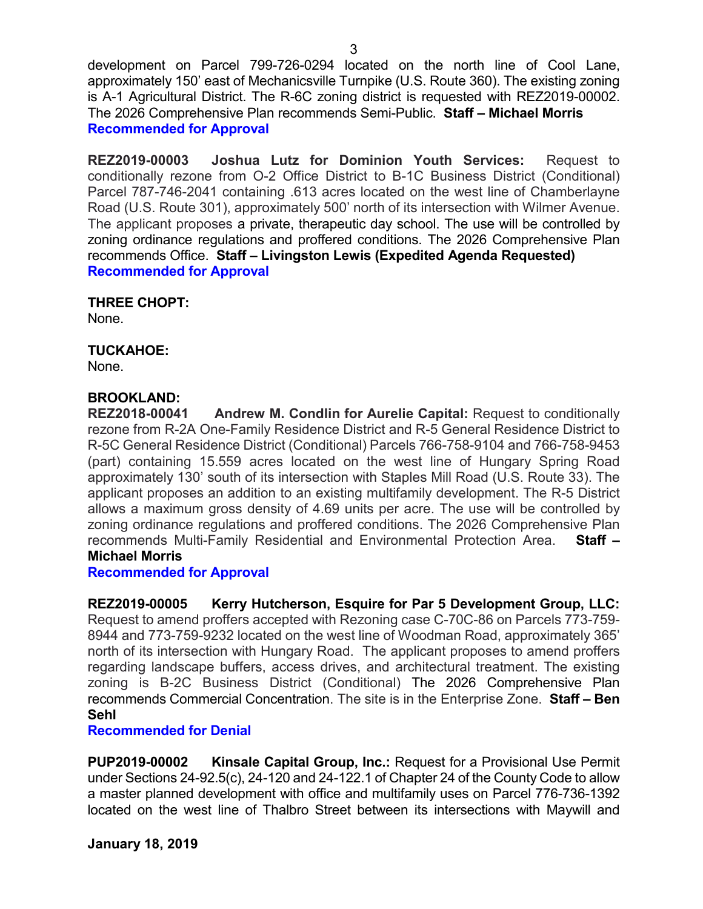development on Parcel 799-726-0294 located on the north line of Cool Lane, approximately 150' east of Mechanicsville Turnpike (U.S. Route 360). The existing zoning is A-1 Agricultural District. The R-6C zoning district is requested with REZ2019-00002. The 2026 Comprehensive Plan recommends Semi-Public. **Staff – Michael Morris Recommended for Approval**

**REZ2019-00003 Joshua Lutz for Dominion Youth Services:** Request to conditionally rezone from O-2 Office District to B-1C Business District (Conditional) Parcel 787-746-2041 containing .613 acres located on the west line of Chamberlayne Road (U.S. Route 301), approximately 500' north of its intersection with Wilmer Avenue. The applicant proposes a private, therapeutic day school. The use will be controlled by zoning ordinance regulations and proffered conditions. The 2026 Comprehensive Plan recommends Office. **Staff – Livingston Lewis (Expedited Agenda Requested) Recommended for Approval**

### **THREE CHOPT:**

None.

# **TUCKAHOE:**

None.

## **BROOKLAND:**

**REZ2018-00041 Andrew M. Condlin for Aurelie Capital:** Request to conditionally rezone from R-2A One-Family Residence District and R-5 General Residence District to R-5C General Residence District (Conditional) Parcels 766-758-9104 and 766-758-9453 (part) containing 15.559 acres located on the west line of Hungary Spring Road approximately 130' south of its intersection with Staples Mill Road (U.S. Route 33). The applicant proposes an addition to an existing multifamily development. The R-5 District allows a maximum gross density of 4.69 units per acre. The use will be controlled by zoning ordinance regulations and proffered conditions. The 2026 Comprehensive Plan recommends Multi-Family Residential and Environmental Protection Area. **Staff – Michael Morris**

### **Recommended for Approval**

**REZ2019-00005 Kerry Hutcherson, Esquire for Par 5 Development Group, LLC:**  Request to amend proffers accepted with Rezoning case C-70C-86 on Parcels 773-759- 8944 and 773-759-9232 located on the west line of Woodman Road, approximately 365' north of its intersection with Hungary Road. The applicant proposes to amend proffers regarding landscape buffers, access drives, and architectural treatment. The existing zoning is B-2C Business District (Conditional) The 2026 Comprehensive Plan recommends Commercial Concentration. The site is in the Enterprise Zone. **Staff – Ben Sehl**

### **Recommended for Denial**

**PUP2019-00002 Kinsale Capital Group, Inc.:** Request for a Provisional Use Permit under Sections 24-92.5(c), 24-120 and 24-122.1 of Chapter 24 of the County Code to allow a master planned development with office and multifamily uses on Parcel 776-736-1392 located on the west line of Thalbro Street between its intersections with Maywill and